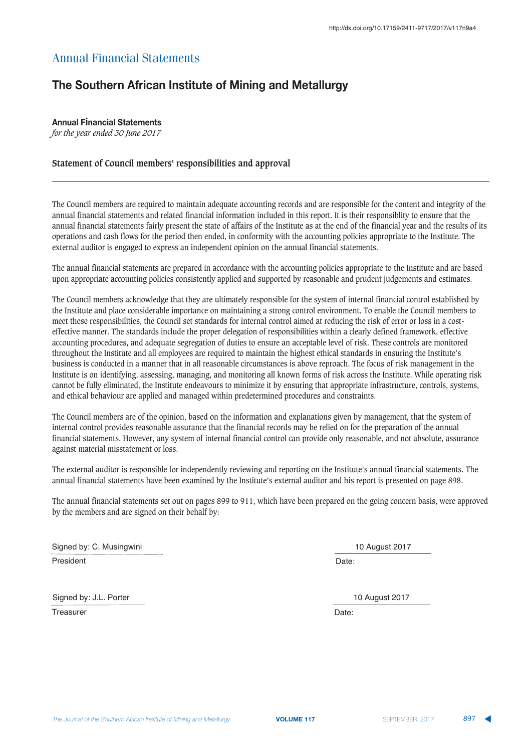## **The Southern African Institute of Mining and Metallurgy**

**Annual Financial Statements** 

*for the year ended 30 June 2017*

### **Statement of Council members responsibilities and approval**

The Council members are required to maintain adequate accounting records and are responsible for the content and integrity of the annual financial statements and related financial information included in this report. It is their responsiblity to ensure that the annual financial statements fairly present the state of affairs of the Institute as at the end of the financial year and the results of its operations and cash flows for the period then ended, in conformity with the accounting policies appropriate to the Institute. The external auditor is engaged to express an independent opinion on the annual financial statements.

The annual financial statements are prepared in accordance with the accounting policies appropriate to the Institute and are based upon appropriate accounting policies consistently applied and supported by reasonable and prudent judgements and estimates.

The Council members acknowledge that they are ultimately responsible for the system of internal financial control established by the Institute and place considerable importance on maintaining a strong control environment. To enable the Council members to meet these responsibilities, the Council set standards for internal control aimed at reducing the risk of error or loss in a costeffective manner. The standards include the proper delegation of responsibilities within a clearly defined framework, effective accounting procedures, and adequate segregation of duties to ensure an acceptable level of risk. These controls are monitored throughout the Institute and all employees are required to maintain the highest ethical standards in ensuring the Institute's business is conducted in a manner that in all reasonable circumstances is above reproach. The focus of risk management in the Institute is on identifying, assessing, managing, and monitoring all known forms of risk across the Institute. While operating risk cannot be fully eliminated, the Institute endeavours to minimize it by ensuring that appropriate infrastructure, controls, systems, and ethical behaviour are applied and managed within predetermined procedures and constraints.

The Council members are of the opinion, based on the information and explanations given by management, that the system of internal control provides reasonable assurance that the financial records may be relied on for the preparation of the annual financial statements. However, any system of internal financial control can provide only reasonable, and not absolute, assurance against material misstatement or loss.

The external auditor is responsible for independently reviewing and reporting on the Institute's annual financial statements. The annual financial statements have been examined by the Institute's external auditor and his report is presented on page 898.

The annual financial statements set out on pages 899 to 911, which have been prepared on the going concern basis, were approved by the members and are signed on their behalf by:

President Signed by: C. Musingwini

Signed by: J.L. Porter

**Treasurer** 

10 August 2017

Date:

10 August 2017

Date: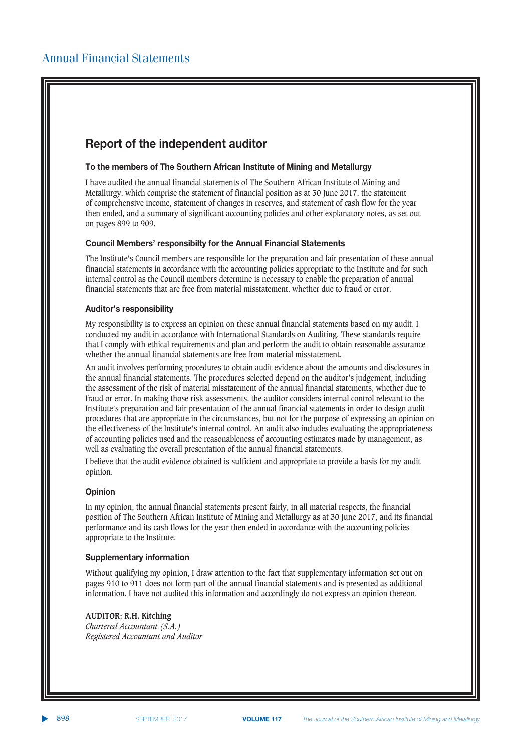## **Report of the independent auditor**

#### **To the members of The Southern African Institute of Mining and Metallurgy**

I have audited the annual financial statements of The Southern African Institute of Mining and Metallurgy, which comprise the statement of financial position as at 30 June 2017, the statement of comprehensive income, statement of changes in reserves, and statement of cash flow for the year then ended, and a summary of significant accounting policies and other explanatory notes, as set out on pages 899 to 909.

#### $**Cauchy**$  **<b>Example 10.5 (2) <b>Example 10.6 (2) <b>Example 10.6 (2) <b>Example 10.6 (2) <b>Example 10.6 (2) <b>Example 10.6 (2) <b>Example 10.6 (2) <b>Example 10.6**

The Institute's Council members are responsible for the preparation and fair presentation of these annual financial statements in accordance with the accounting policies appropriate to the Institute and for such internal control as the Council members determine is necessary to enable the preparation of annual financial statements that are free from material misstatement, whether due to fraud or error.

### **Auditor's responsibility**

My responsibility is to express an opinion on these annual financial statements based on my audit. I conducted my audit in accordance with International Standards on Auditing. These standards require that I comply with ethical requirements and plan and perform the audit to obtain reasonable assurance whether the annual financial statements are free from material misstatement.

An audit involves performing procedures to obtain audit evidence about the amounts and disclosures in the annual financial statements. The procedures selected depend on the auditor's judgement, including the assessment of the risk of material misstatement of the annual financial statements, whether due to fraud or error. In making those risk assessments, the auditor considers internal control relevant to the Institute's preparation and fair presentation of the annual financial statements in order to design audit procedures that are appropriate in the circumstances, but not for the purpose of expressing an opinion on the effectiveness of the Institute's internal control. An audit also includes evaluating the appropriateness of accounting policies used and the reasonableness of accounting estimates made by management, as well as evaluating the overall presentation of the annual financial statements.

I believe that the audit evidence obtained is sufficient and appropriate to provide a basis for my audit opinion.

### **Opinion**

In my opinion, the annual financial statements present fairly, in all material respects, the financial position of The Southern African Institute of Mining and Metallurgy as at 30 June 2017, and its financial performance and its cash flows for the year then ended in accordance with the accounting policies appropriate to the Institute.

#### **Supplementary information**

Without qualifying my opinion, I draw attention to the fact that supplementary information set out on pages 910 to 911 does not form part of the annual financial statements and is presented as additional information. I have not audited this information and accordingly do not express an opinion thereon.

### **AUDITOR: R.H. Kitching**

*Chartered Accountant (S.A.) Registered Accountant and Auditor*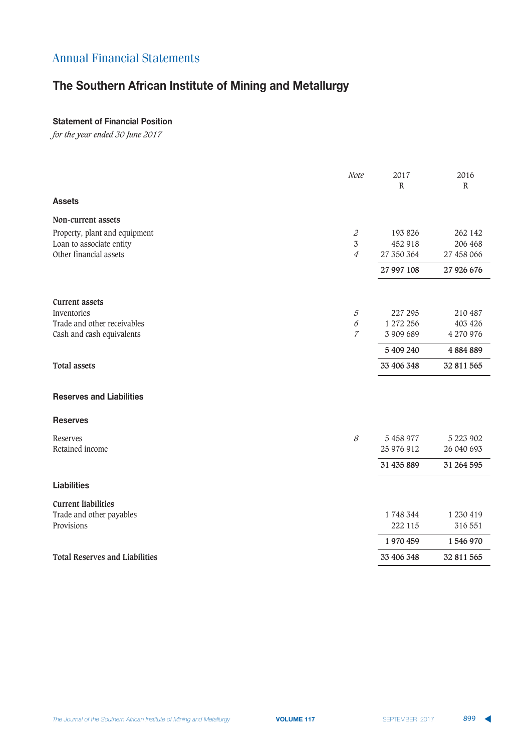# **The Southern African Institute of Mining and Metallurgy**

## **Statement of Financial Position**

|                                       | Note                        | 2017<br>$\mathbb R$ | 2016<br>$\mathbb R$ |
|---------------------------------------|-----------------------------|---------------------|---------------------|
| <b>Assets</b>                         |                             |                     |                     |
| Non-current assets                    |                             |                     |                     |
| Property, plant and equipment         | $\mathcal{Z}_{\mathcal{C}}$ | 193 826             | 262 142             |
| Loan to associate entity              | $\sqrt{3}$                  | 452 918             | 206 468             |
| Other financial assets                | $\overline{4}$              | 27 350 364          | 27 458 066          |
|                                       |                             | 27 997 108          | 27 926 676          |
| <b>Current assets</b>                 |                             |                     |                     |
| Inventories                           | $\mathcal{5}$               | 227 295             | 210 487             |
| Trade and other receivables           | $\boldsymbol{\delta}$       | 1 272 256           | 403 426             |
| Cash and cash equivalents             | $\overline{7}$              | 3 909 689           | 4 270 976           |
|                                       |                             | 5 409 240           | 4884889             |
| <b>Total assets</b>                   |                             | 33 406 348          | 32 811 565          |
| <b>Reserves and Liabilities</b>       |                             |                     |                     |
| <b>Reserves</b>                       |                             |                     |                     |
| Reserves                              | $\mathcal S$                | 5 458 977           | 5 223 902           |
| Retained income                       |                             | 25 976 912          | 26 040 693          |
|                                       |                             | 31 435 889          | 31 264 595          |
| <b>Liabilities</b>                    |                             |                     |                     |
| <b>Current liabilities</b>            |                             |                     |                     |
| Trade and other payables              |                             | 1748344             | 1 230 419           |
| Provisions                            |                             | 222 115             | 316 551             |
|                                       |                             | 1970459             | 1546970             |
| <b>Total Reserves and Liabilities</b> |                             | 33 406 348          | 32 811 565          |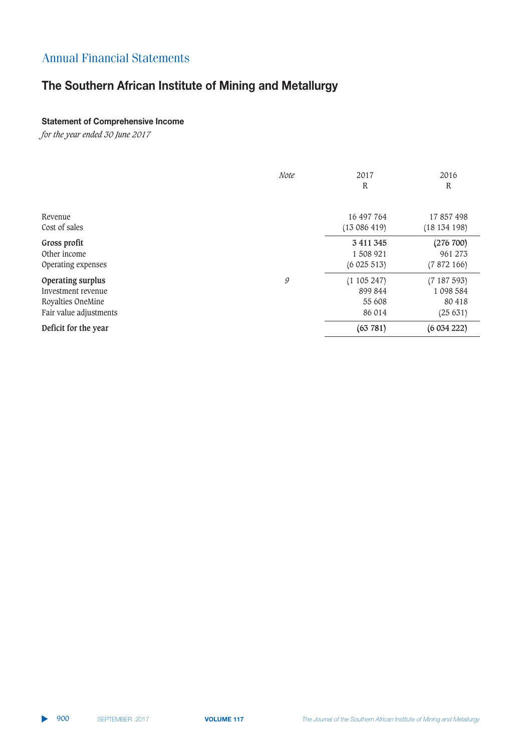# **The Southern African Institute of Mining and Metallurgy**

### **Statement of Comprehensive Income**

|                        | <b>Note</b> | 2017<br>R     | 2016<br>R  |
|------------------------|-------------|---------------|------------|
| Revenue                |             | 16 497 764    | 17857498   |
| Cost of sales          |             | (13086419)    | (18134198) |
| Gross profit           |             | 3 4 1 1 3 4 5 | (276 700)  |
| Other income           |             | 1508921       | 961 273    |
| Operating expenses     |             | (6025513)     | (7872166)  |
| Operating surplus      | 9           | (1105247)     | (7187593)  |
| Investment revenue     |             | 899 844       | 1098584    |
| Royalties OneMine      |             | 55 608        | 80 418     |
| Fair value adjustments |             | 86 014        | (25631)    |
| Deficit for the year   |             | (63781)       | (6034222)  |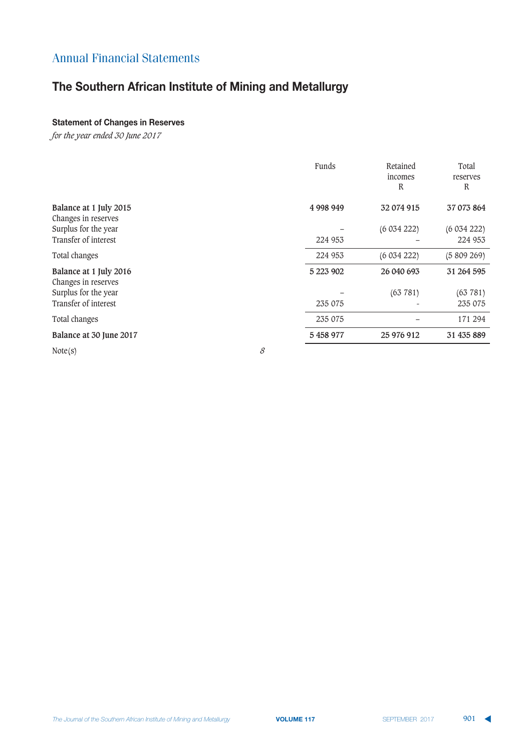# **The Southern African Institute of Mining and Metallurgy**

### **Statement of Changes in Reserves**

|                                               |              | Funds     | Retained<br>incomes<br>$\mathbb{R}$ | Total<br>reserves<br>R |
|-----------------------------------------------|--------------|-----------|-------------------------------------|------------------------|
| Balance at 1 July 2015<br>Changes in reserves |              | 4 998 949 | 32 074 915                          | 37 073 864             |
| Surplus for the year                          |              |           | (6034222)                           | (6034222)              |
| Transfer of interest                          |              | 224 953   |                                     | 224 953                |
| Total changes                                 |              | 224 953   | (6034222)                           | (5809269)              |
| Balance at 1 July 2016<br>Changes in reserves |              | 5 223 902 | 26 040 693                          | 31 264 595             |
| Surplus for the year                          |              |           | (63781)                             | (63781)                |
| Transfer of interest                          |              | 235 075   |                                     | 235 075                |
| Total changes                                 |              | 235 075   |                                     | 171 294                |
| Balance at 30 June 2017                       |              | 5 458 977 | 25 976 912                          | 31 435 889             |
| Note(s)                                       | $\mathcal S$ |           |                                     |                        |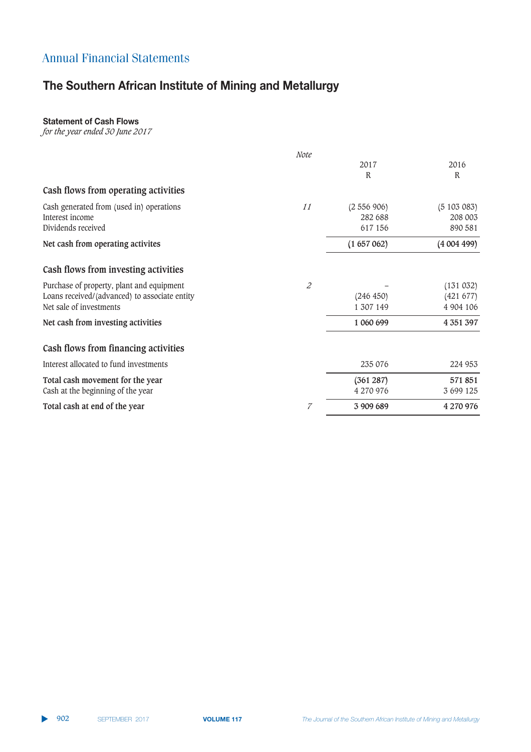# **The Southern African Institute of Mining and Metallurgy**

## **Statement of Cash Flows**

|                                               | Note                        |           |           |
|-----------------------------------------------|-----------------------------|-----------|-----------|
|                                               |                             | 2017      | 2016      |
|                                               |                             | R         | R         |
| Cash flows from operating activities          |                             |           |           |
| Cash generated from (used in) operations      | 11                          | (2556906) | (5103083) |
| Interest income                               |                             | 282 688   | 208 003   |
| Dividends received                            |                             | 617 156   | 890 581   |
| Net cash from operating activites             |                             | (1657062) | (4004499) |
| Cash flows from investing activities          |                             |           |           |
| Purchase of property, plant and equipment     | $\mathcal{Z}_{\mathcal{C}}$ |           | (131 032) |
| Loans received/(advanced) to associate entity |                             | (246 450) | (421 677) |
| Net sale of investments                       |                             | 1 307 149 | 4 904 106 |
| Net cash from investing activities            |                             | 1 060 699 | 4 351 397 |
| Cash flows from financing activities          |                             |           |           |
| Interest allocated to fund investments        |                             | 235 076   | 224 953   |
| Total cash movement for the year              |                             | (361 287) | 571851    |
| Cash at the beginning of the year             |                             | 4 270 976 | 3 699 125 |
| Total cash at end of the year                 | $\overline{7}$              | 3 909 689 | 4 270 976 |
|                                               |                             |           |           |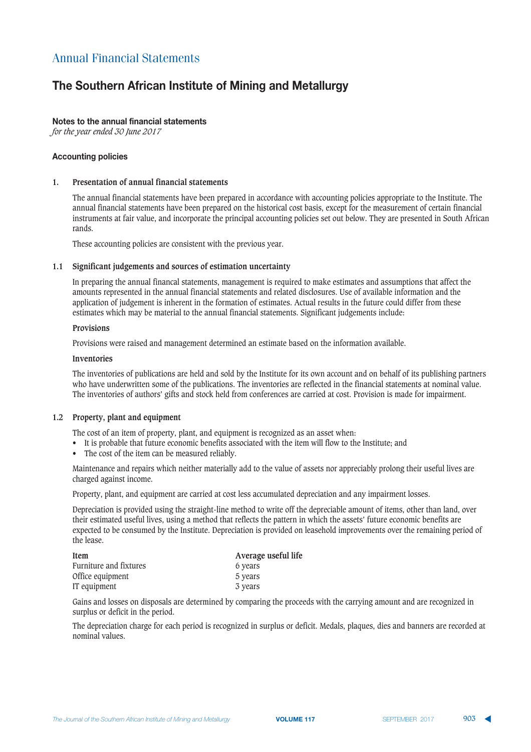## **The Southern African Institute of Mining and Metallurgy**

## **Notes to the annual financial statements**

*for the year ended 30 June 2017*

### **Accounting policies**

#### **1. Presentation of annual financial statements**

The annual financial statements have been prepared in accordance with accounting policies appropriate to the Institute. The annual financial statements have been prepared on the historical cost basis, except for the measurement of certain financial instruments at fair value, and incorporate the principal accounting policies set out below. They are presented in South African rands.

These accounting policies are consistent with the previous year.

#### **1.1 Significant judgements and sources of estimation uncertainty**

In preparing the annual financal statements, management is required to make estimates and assumptions that affect the amounts represented in the annual financial statements and related disclosures. Use of available information and the application of judgement is inherent in the formation of estimates. Actual results in the future could differ from these estimates which may be material to the annual financial statements. Significant judgements include:

#### **Provisions**

Provisions were raised and management determined an estimate based on the information available.

#### **Inventories**

The inventories of publications are held and sold by the Institute for its own account and on behalf of its publishing partners who have underwritten some of the publications. The inventories are reflected in the financial statements at nominal value. The inventories of authors' gifts and stock held from conferences are carried at cost. Provision is made for impairment.

#### **1.2 Property, plant and equipment**

The cost of an item of property, plant, and equipment is recognized as an asset when:

- It is probable that future economic benefits associated with the item will flow to the Institute; and
- The cost of the item can be measured reliably.

Maintenance and repairs which neither materially add to the value of assets nor appreciably prolong their useful lives are charged against income.

Property, plant, and equipment are carried at cost less accumulated depreciation and any impairment losses.

Depreciation is provided using the straight-line method to write off the depreciable amount of items, other than land, over their estimated useful lives, using a method that reflects the pattern in which the assets' future economic benefits are expected to be consumed by the Institute. Depreciation is provided on leasehold improvements over the remaining period of the lease.

| Item                   | Average useful life |
|------------------------|---------------------|
| Furniture and fixtures | 6 years             |
| Office equipment       | 5 years             |
| IT equipment           | 3 years             |

Gains and losses on disposals are determined by comparing the proceeds with the carrying amount and are recognized in surplus or deficit in the period.

The depreciation charge for each period is recognized in surplus or deficit. Medals, plaques, dies and banners are recorded at nominal values.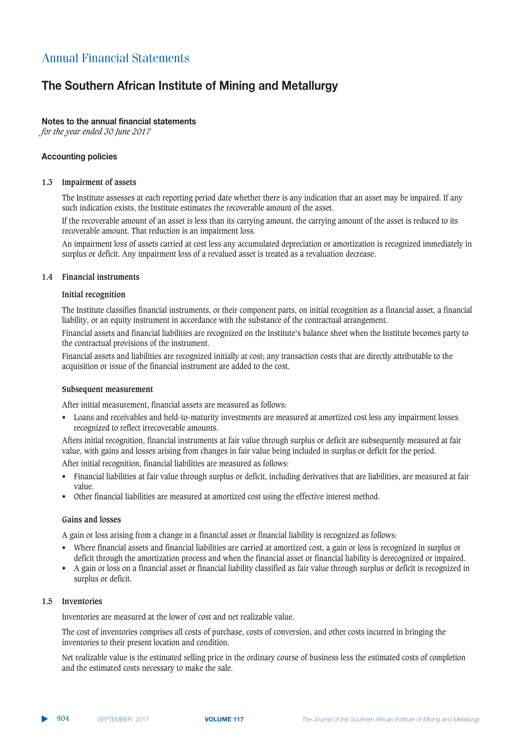## **The Southern African Institute of Mining and Metallurgy**

## **Notes to the annual financial statements**

*for the year ended 30 June 2017*

### **Accounting policies**

#### **1.3 Impairment of assets**

The Institute assesses at each reporting period date whether there is any indication that an asset may be impaired. If any such indication exists, the Institute estimates the recoverable amount of the asset.

If the recoverable amount of an asset is less than its carrying amount, the carrying amount of the asset is reduced to its recoverable amount. That reduction is an impairment loss.

An impairment loss of assets carried at cost less any accumulated depreciation or amortization is recognized immediately in surplus or deficit. Any impairment loss of a revalued asset is treated as a revaluation decrease.

### **1.4 Financial instruments**

### **Initial recognition**

The Institute classifies financial instruments, or their component parts, on initial recognition as a financial asset, a financial liability, or an equity instrument in accordance with the substance of the contractual arrangement.

Financial assets and financial liabilities are recognized on the Institute's balance sheet when the Institute becomes party to the contractual provisions of the instrument.

Financial assets and liabilities are recognized initially at cost; any transaction costs that are directly attributable to the acquisition or issue of the financial instrument are added to the cost.

#### **Subsequent measurement**

After initial measurement, financial assets are measured as follows:

• Loans and receivables and held-to-maturity investments are measured at amortized cost less any impairment losses recognized to reflect irrecoverable amounts.

Afters initial recognition, financial instruments at fair value through surplus or deficit are subsequently measured at fair value, with gains and losses arising from changes in fair value being included in surplus or deficit for the period.

After initial recognition, financial liabilities are measured as follows:

- Financial liabilities at fair value through surplus or deficit, including derivatives that are liabilities, are measured at fair value.
- Other financial liabilities are measured at amortized cost using the effective interest method.

#### **Gains and losses**

A gain or loss arising from a change in a financial asset or financial liability is recognized as follows:

- Where financial assets and financial liabilities are carried at amortized cost, a gain or loss is recognized in surplus or deficit through the amortization process and when the financial asset or financial liability is derecognized or impaired.
- A gain or loss on a financial asset or financial liability classified as fair value through surplus or deficit is recognized in surplus or deficit.

#### **1.5 Inventories**

Inventories are measured at the lower of cost and net realizable value.

The cost of inventories comprises all costs of purchase, costs of conversion, and other costs incurred in bringing the inventories to their present location and condition.

Net realizable value is the estimated selling price in the ordinary course of business less the estimated costs of completion and the estimated costs necessary to make the sale.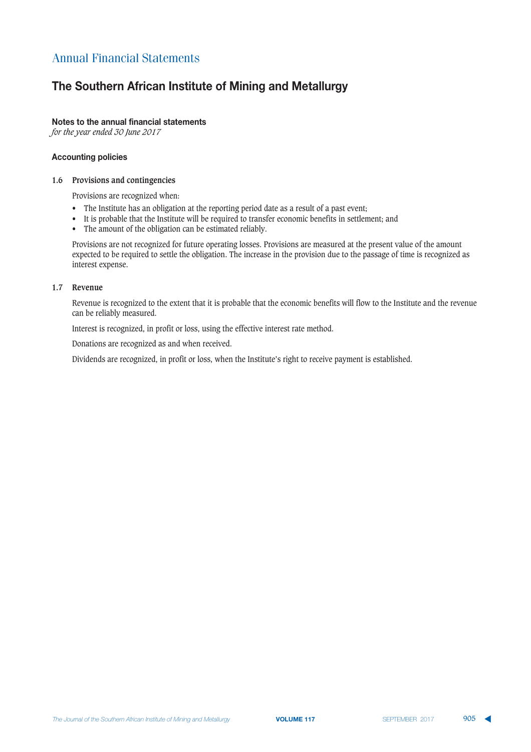## **The Southern African Institute of Mining and Metallurgy**

### **<u>Notes to the annual financial statements</u>**

*for the year ended 30 June 2017*

#### **Accounting policies**

#### **1.6 Provisions and contingencies**

Provisions are recognized when:

- The Institute has an obligation at the reporting period date as a result of a past event;
- It is probable that the Institute will be required to transfer economic benefits in settlement; and
- The amount of the obligation can be estimated reliably.

Provisions are not recognized for future operating losses. Provisions are measured at the present value of the amount expected to be required to settle the obligation. The increase in the provision due to the passage of time is recognized as interest expense.

#### **1.7 Revenue**

Revenue is recognized to the extent that it is probable that the economic benefits will flow to the Institute and the revenue can be reliably measured.

Interest is recognized, in profit or loss, using the effective interest rate method.

Donations are recognized as and when received.

Dividends are recognized, in profit or loss, when the Institute's right to receive payment is established.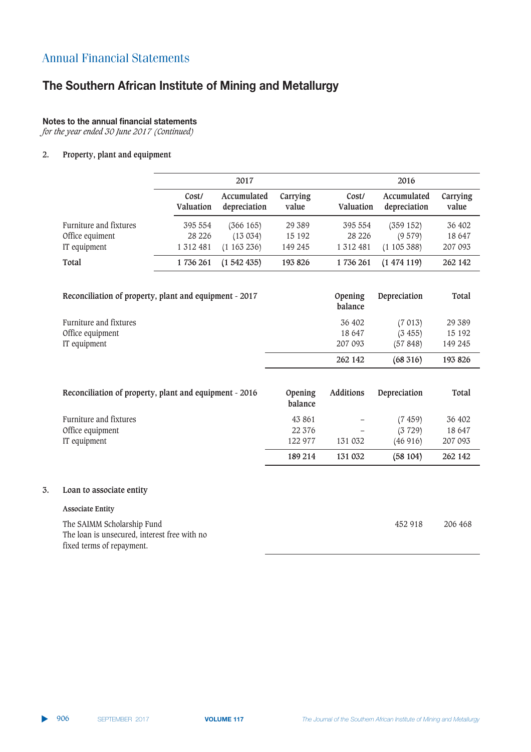# **The Southern African Institute of Mining and Metallurgy**

## **Notes to the annual financial statements**

*for the year ended 30 June 2017 (Continued)*

### **2. Property, plant and equipment**

|                                                                                                         |                    | 2017                        |                    |                    | 2016                        |                   |  |
|---------------------------------------------------------------------------------------------------------|--------------------|-----------------------------|--------------------|--------------------|-----------------------------|-------------------|--|
|                                                                                                         | Cost/<br>Valuation | Accumulated<br>depreciation | Carrying<br>value  | Cost/<br>Valuation | Accumulated<br>depreciation | Carrying<br>value |  |
| Furniture and fixtures                                                                                  | 395 554            | (366 165)                   | 29 389             | 395 554            | (359152)                    | 36 402            |  |
| Office equiment                                                                                         | 28 2 26            | (13034)                     | 15 192             | 28 2 2 6           | (9579)                      | 18 647            |  |
| IT equipment                                                                                            | 1 3 1 2 4 8 1      | (1163236)                   | 149 245            | 1312481            | (1105388)                   | 207 093           |  |
| Total                                                                                                   | 1736261            | (1542435)                   | 193 826            | 1736 261           | (1474119)                   | 262 142           |  |
| Reconciliation of property, plant and equipment - 2017                                                  |                    |                             |                    | Opening<br>balance | Depreciation                | Total             |  |
| Furniture and fixtures                                                                                  |                    |                             |                    | 36 402             | (7013)                      | 29 389            |  |
| Office equipment                                                                                        |                    |                             |                    | 18 647             | (3455)                      | 15 192            |  |
| IT equipment                                                                                            |                    |                             |                    | 207 093            | (57848)                     | 149 245           |  |
|                                                                                                         |                    |                             |                    | 262 142            | (68316)                     | 193 826           |  |
| Reconciliation of property, plant and equipment - 2016                                                  |                    |                             | Opening<br>balance | <b>Additions</b>   | Depreciation                | Total             |  |
| Furniture and fixtures                                                                                  |                    |                             | 43 861             |                    | (7459)                      | 36 402            |  |
| Office equipment                                                                                        |                    |                             | 22 376             |                    | (3729)                      | 18 647            |  |
| IT equipment                                                                                            |                    |                             | 122 977            | 131 032            | (46916)                     | 207 093           |  |
|                                                                                                         |                    |                             | 189 214            | 131 032            | (58104)                     | 262 142           |  |
| Loan to associate entity                                                                                |                    |                             |                    |                    |                             |                   |  |
| <b>Associate Entity</b>                                                                                 |                    |                             |                    |                    |                             |                   |  |
| The SAIMM Scholarship Fund<br>The loan is unsecured, interest free with no<br>fixed terms of repayment. |                    |                             |                    |                    | 452 918                     | 206 468           |  |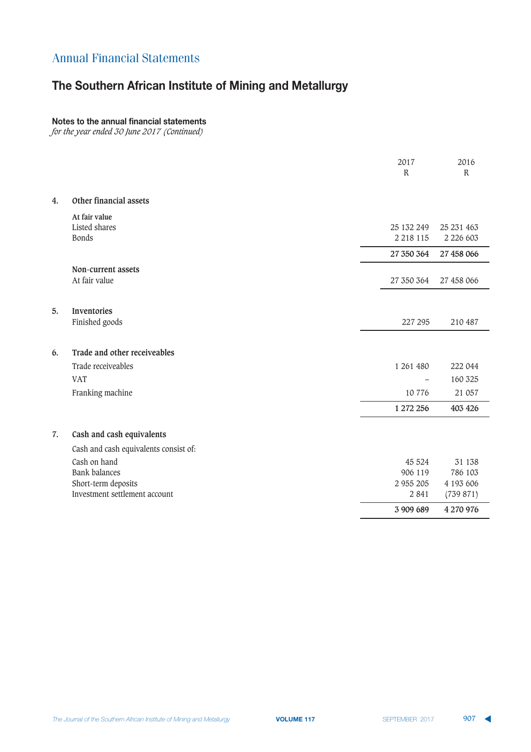# **The Southern African Institute of Mining and Metallurgy**

### **Notes to the annual financial statements**

*for the year ended 30 June 2017 (Continued)*

|    |                                       | 2017<br>$\mathbb{R}$ | 2016<br>$\mathbb{R}$ |
|----|---------------------------------------|----------------------|----------------------|
| 4. | Other financial assets                |                      |                      |
|    | At fair value<br>Listed shares        | 25 132 249           | 25 231 463           |
|    | <b>Bonds</b>                          | 2 2 1 8 1 1 5        | 2 2 2 6 6 0 3        |
|    |                                       | 27 350 364           | 27 458 066           |
|    | Non-current assets                    |                      |                      |
|    | At fair value                         | 27 350 364           | 27 458 066           |
|    |                                       |                      |                      |
| 5. | Inventories                           |                      |                      |
|    | Finished goods                        | 227 295              | 210 487              |
| 6. | Trade and other receiveables          |                      |                      |
|    | Trade receiveables                    | 1 261 480            | 222 044              |
|    | <b>VAT</b>                            |                      | 160 325              |
|    | Franking machine                      | 10776                | 21 057               |
|    |                                       | 1 272 256            | 403 426              |
| 7. | Cash and cash equivalents             |                      |                      |
|    | Cash and cash equivalents consist of: |                      |                      |
|    | Cash on hand                          | 45 5 24              | 31 138               |
|    | <b>Bank balances</b>                  | 906 119              | 786 103              |
|    | Short-term deposits                   | 2 955 205            | 4 193 606            |
|    | Investment settlement account         | 2841                 | (739871)             |
|    |                                       | 3 909 689            | 4 270 976            |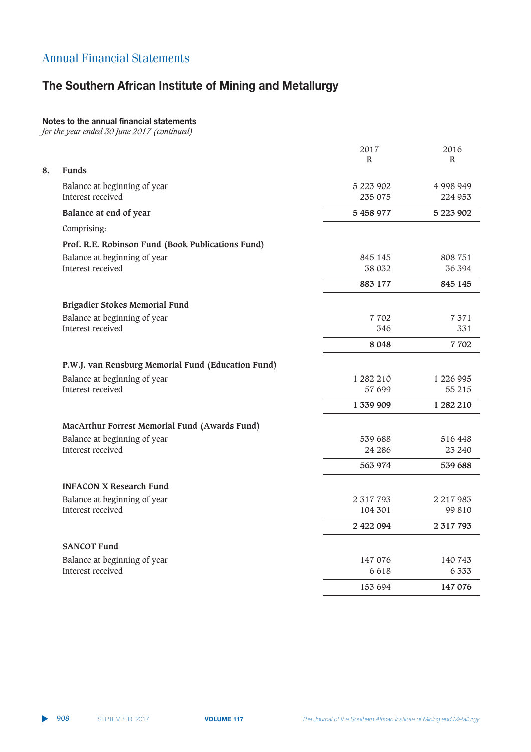# **The Southern African Institute of Mining and Metallurgy**

## **Notes to the annual financial statements**

*for the year ended 30 June 2017 (continued)*

|    |                                                    | 2017          | 2016          |
|----|----------------------------------------------------|---------------|---------------|
|    |                                                    | R             | R.            |
| 8. | <b>Funds</b>                                       |               |               |
|    | Balance at beginning of year                       | 5 223 902     | 4 9 9 8 9 4 9 |
|    | Interest received                                  | 235 075       | 224 953       |
|    | Balance at end of year                             | 5 458 977     | 5 223 902     |
|    | Comprising:                                        |               |               |
|    | Prof. R.E. Robinson Fund (Book Publications Fund)  |               |               |
|    | Balance at beginning of year                       | 845 145       | 808 751       |
|    | Interest received                                  | 38 032        | 36 394        |
|    |                                                    | 883 177       | 845 145       |
|    | Brigadier Stokes Memorial Fund                     |               |               |
|    | Balance at beginning of year                       | 7702          | 7371          |
|    | Interest received                                  | 346           | 331           |
|    |                                                    | 8 0 4 8       | 7702          |
|    | P.W.J. van Rensburg Memorial Fund (Education Fund) |               |               |
|    | Balance at beginning of year                       | 1 282 210     | 1 226 995     |
|    | Interest received                                  | 57 699        | 55 215        |
|    |                                                    | 1 339 909     | 1 282 210     |
|    | MacArthur Forrest Memorial Fund (Awards Fund)      |               |               |
|    | Balance at beginning of year                       | 539 688       | 516448        |
|    | Interest received                                  | 24 28 6       | 23 240        |
|    |                                                    | 563 974       | 539 688       |
|    |                                                    |               |               |
|    | <b>INFACON X Research Fund</b>                     |               |               |
|    | Balance at beginning of year                       | 2 3 1 7 7 9 3 | 2 2 1 7 9 8 3 |
|    | Interest received                                  | 104 301       | 99 810        |
|    |                                                    | 2 422 094     | 2 3 1 7 7 9 3 |
|    | <b>SANCOT Fund</b>                                 |               |               |
|    | Balance at beginning of year                       | 147 076       | 140 743       |
|    | Interest received                                  | 6 6 1 8       | 6 3 3 3       |
|    |                                                    | 153 694       | 147076        |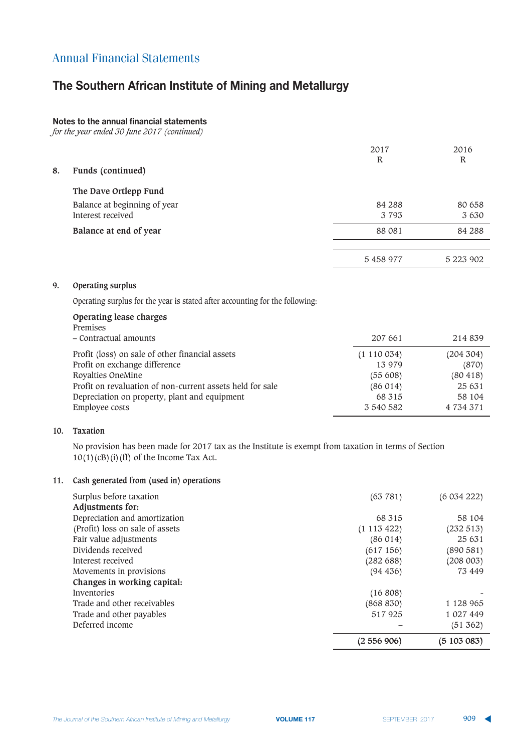# **The Southern African Institute of Mining and Metallurgy**

### **Notes to the annual financial statements**

*for the year ended 30 June 2017 (continued)*

|     |                                                                                                      | 2017        | 2016      |
|-----|------------------------------------------------------------------------------------------------------|-------------|-----------|
|     |                                                                                                      | R           | R         |
| 8.  | Funds (continued)                                                                                    |             |           |
|     | The Dave Ortlepp Fund                                                                                |             |           |
|     | Balance at beginning of year                                                                         | 84 288      | 80 658    |
|     | Interest received                                                                                    | 3793        | 3 6 3 0   |
|     | Balance at end of year                                                                               | 88 081      | 84 288    |
|     |                                                                                                      |             |           |
|     |                                                                                                      | 5 458 977   | 5 223 902 |
| 9.  | Operating surplus                                                                                    |             |           |
|     |                                                                                                      |             |           |
|     | Operating surplus for the year is stated after accounting for the following:                         |             |           |
|     | Operating lease charges                                                                              |             |           |
|     | Premises                                                                                             |             |           |
|     | - Contractual amounts                                                                                | 207 661     | 214 839   |
|     | Profit (loss) on sale of other financial assets                                                      | (1 110 034) | (204 304) |
|     | Profit on exchange difference                                                                        | 13 979      | (870)     |
|     | Royalties OneMine                                                                                    | (55608)     | (80418)   |
|     | Profit on revaluation of non-current assets held for sale                                            | (86014)     | 25 631    |
|     | Depreciation on property, plant and equipment                                                        | 68 315      | 58 104    |
|     | Employee costs                                                                                       | 3 540 582   | 4 734 371 |
| 10. | <b>Taxation</b>                                                                                      |             |           |
|     | No provision has been made for 2017 tax as the Institute is exempt from taxation in terms of Section |             |           |
|     | $10(1)(CB)(i)(ff)$ of the Income Tax Act.                                                            |             |           |
| 11. | Cash generated from (used in) operations                                                             |             |           |
|     |                                                                                                      |             |           |
|     | Surplus before taxation<br>Adjustments for:                                                          | (63781)     | (6034222) |
|     | Depreciation and amortization                                                                        | 68 315      | 58 104    |
|     | (Profit) loss on sale of assets                                                                      | (1113422)   | (232 513) |
|     | Fair value adjustments                                                                               | (86014)     | 25 631    |
|     | Dividends received                                                                                   | (617156)    | (890581)  |
|     | Interest received                                                                                    | (282 688)   | (208003)  |
|     | Movements in provisions                                                                              | (94 436)    | 73 449    |
|     | Changes in working capital:                                                                          |             |           |
|     | Inventories                                                                                          | (16808)     |           |
|     | Trade and other receivables                                                                          | (868 830)   | 1 128 965 |
|     | Trade and other payables                                                                             | 517925      | 1 027 449 |
|     | Deferred income                                                                                      |             | (51 362)  |
|     |                                                                                                      | (2556906)   | (5103083) |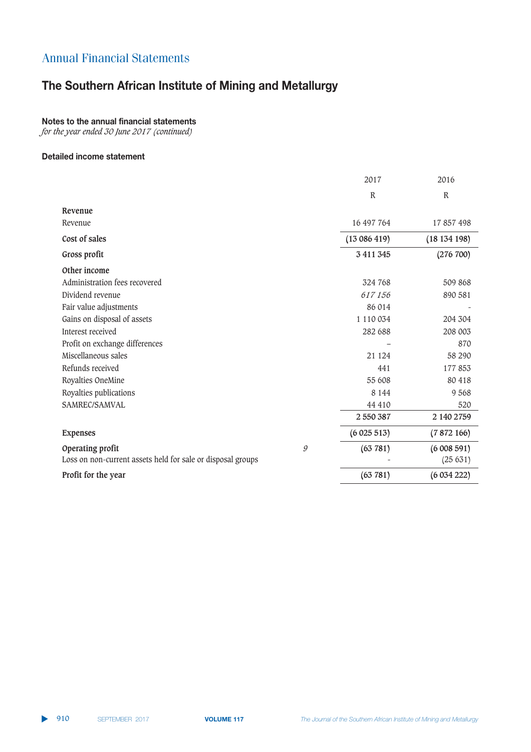# **The Southern African Institute of Mining and Metallurgy**

### **Notes to the annual financial statements**

*for the year ended 30 June 2017 (continued)*

### $\blacksquare$  **Detailed income statement**

|                                                             |   | 2017         | 2016         |
|-------------------------------------------------------------|---|--------------|--------------|
|                                                             |   | $\mathbb{R}$ | $\mathbb{R}$ |
| Revenue                                                     |   |              |              |
| Revenue                                                     |   | 16 497 764   | 17857498     |
| Cost of sales                                               |   | (13086419)   | (18134198)   |
| Gross profit                                                |   | 3 411 345    | (276 700)    |
| Other income                                                |   |              |              |
| Administration fees recovered                               |   | 324 768      | 509 868      |
| Dividend revenue                                            |   | 617156       | 890 581      |
| Fair value adjustments                                      |   | 86 014       |              |
| Gains on disposal of assets                                 |   | 1 110 034    | 204 304      |
| Interest received                                           |   | 282 688      | 208 003      |
| Profit on exchange differences                              |   |              | 870          |
| Miscellaneous sales                                         |   | 21 1 24      | 58 290       |
| Refunds received                                            |   | 441          | 177853       |
| Royalties OneMine                                           |   | 55 608       | 80 418       |
| Royalties publications                                      |   | 8 1 4 4      | 9568         |
| SAMREC/SAMVAL                                               |   | 44 410       | 520          |
|                                                             |   | 2 550 387    | 2 140 2759   |
| <b>Expenses</b>                                             |   | (6025513)    | (7872166)    |
| Operating profit                                            | 9 | (63781)      | (6008591)    |
| Loss on non-current assets held for sale or disposal groups |   |              | (25631)      |
| Profit for the year                                         |   | (63781)      | (6034222)    |